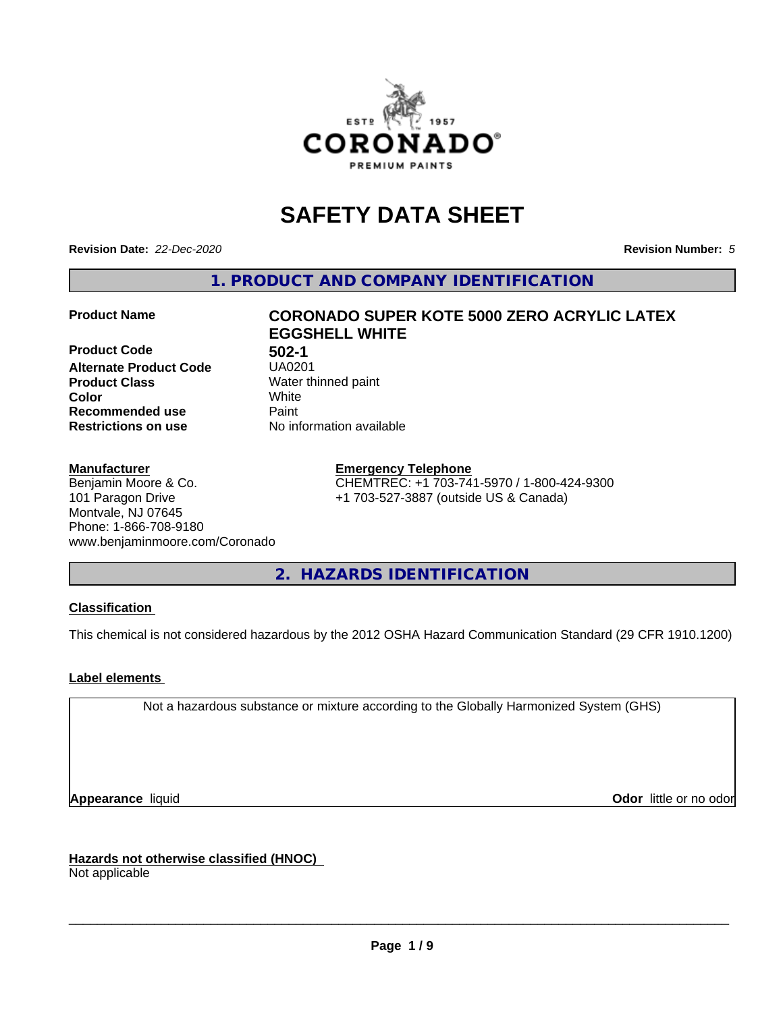

# **SAFETY DATA SHEET**

**Revision Date:** *22-Dec-2020* **Revision Number:** *5*

**1. PRODUCT AND COMPANY IDENTIFICATION**

**Product Code 61 1302-1<br>Alternate Product Code 61 150201 Alternate Product Code Product Class** Water thinned paint<br> **Color** White **Color** White **Recommended use Caint Restrictions on use** No information available

# **Product Name CORONADO SUPER KOTE 5000 ZERO ACRYLIC LATEX EGGSHELL WHITE**

#### **Manufacturer**

Benjamin Moore & Co. 101 Paragon Drive Montvale, NJ 07645 Phone: 1-866-708-9180 www.benjaminmoore.com/Coronado

#### **Emergency Telephone**

CHEMTREC: +1 703-741-5970 / 1-800-424-9300 +1 703-527-3887 (outside US & Canada)

**2. HAZARDS IDENTIFICATION**

#### **Classification**

This chemical is not considered hazardous by the 2012 OSHA Hazard Communication Standard (29 CFR 1910.1200)

#### **Label elements**

Not a hazardous substance or mixture according to the Globally Harmonized System (GHS)

**Appearance** liquid **Contract Contract Contract Contract Contract Contract Contract Contract Contract Contract Contract Contract Contract Contract Contract Contract Contract Contract Contract Contract Contract Contract Con** 

**Hazards not otherwise classified (HNOC)**

Not applicable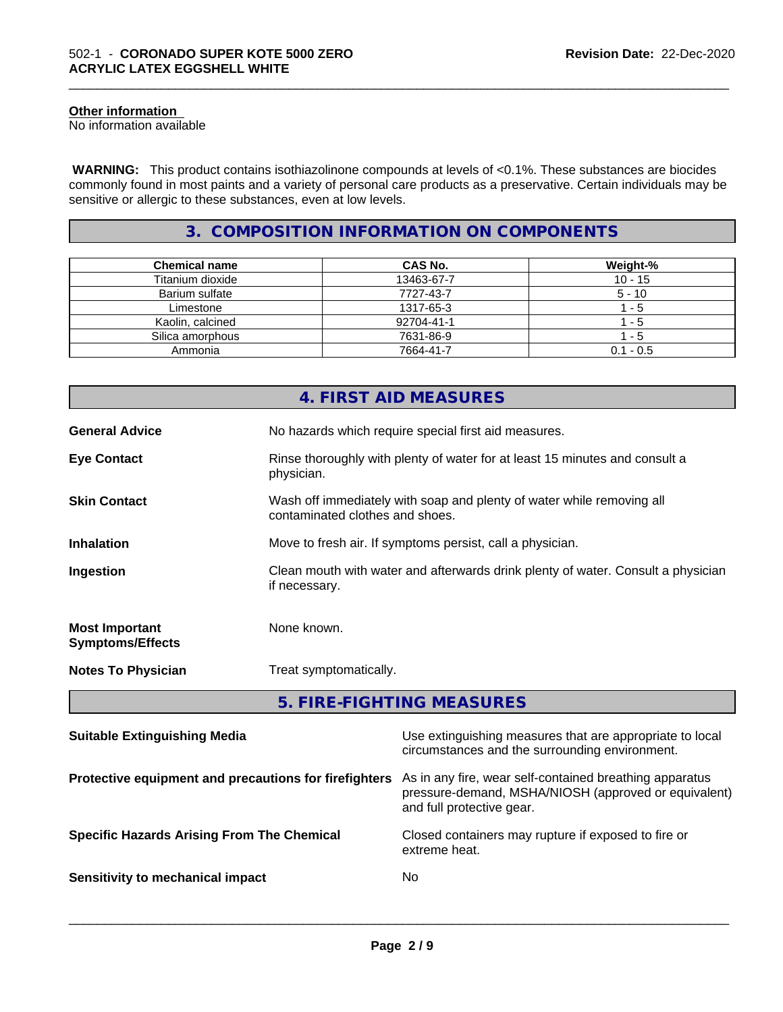#### **Other information**

No information available

 **WARNING:** This product contains isothiazolinone compounds at levels of <0.1%. These substances are biocides commonly found in most paints and a variety of personal care products as a preservative. Certain individuals may be sensitive or allergic to these substances, even at low levels.

\_\_\_\_\_\_\_\_\_\_\_\_\_\_\_\_\_\_\_\_\_\_\_\_\_\_\_\_\_\_\_\_\_\_\_\_\_\_\_\_\_\_\_\_\_\_\_\_\_\_\_\_\_\_\_\_\_\_\_\_\_\_\_\_\_\_\_\_\_\_\_\_\_\_\_\_\_\_\_\_\_\_\_\_\_\_\_\_\_\_\_\_\_

# **3. COMPOSITION INFORMATION ON COMPONENTS**

| <b>Chemical name</b> | <b>CAS No.</b> | Weight-%    |
|----------------------|----------------|-------------|
| Titanium dioxide     | 13463-67-7     | $10 - 15$   |
| Barium sulfate       | 7727-43-7      | $5 - 10$    |
| Limestone            | 1317-65-3      | $-5$        |
| Kaolin, calcined     | 92704-41-1     | - 5         |
| Silica amorphous     | 7631-86-9      | - 5         |
| Ammonia              | 7664-41-7      | $0.1 - 0.5$ |

|                                                  | 4. FIRST AID MEASURES                                                                                    |
|--------------------------------------------------|----------------------------------------------------------------------------------------------------------|
| <b>General Advice</b>                            | No hazards which require special first aid measures.                                                     |
| <b>Eye Contact</b>                               | Rinse thoroughly with plenty of water for at least 15 minutes and consult a<br>physician.                |
| <b>Skin Contact</b>                              | Wash off immediately with soap and plenty of water while removing all<br>contaminated clothes and shoes. |
| <b>Inhalation</b>                                | Move to fresh air. If symptoms persist, call a physician.                                                |
| Ingestion                                        | Clean mouth with water and afterwards drink plenty of water. Consult a physician<br>if necessary.        |
| <b>Most Important</b><br><b>Symptoms/Effects</b> | None known.                                                                                              |
| <b>Notes To Physician</b>                        | Treat symptomatically.                                                                                   |
|                                                  |                                                                                                          |

**5. FIRE-FIGHTING MEASURES**

| <b>Suitable Extinguishing Media</b>                   | Use extinguishing measures that are appropriate to local<br>circumstances and the surrounding environment.                                   |
|-------------------------------------------------------|----------------------------------------------------------------------------------------------------------------------------------------------|
| Protective equipment and precautions for firefighters | As in any fire, wear self-contained breathing apparatus<br>pressure-demand, MSHA/NIOSH (approved or equivalent)<br>and full protective gear. |
| <b>Specific Hazards Arising From The Chemical</b>     | Closed containers may rupture if exposed to fire or<br>extreme heat.                                                                         |
| Sensitivity to mechanical impact                      | No.                                                                                                                                          |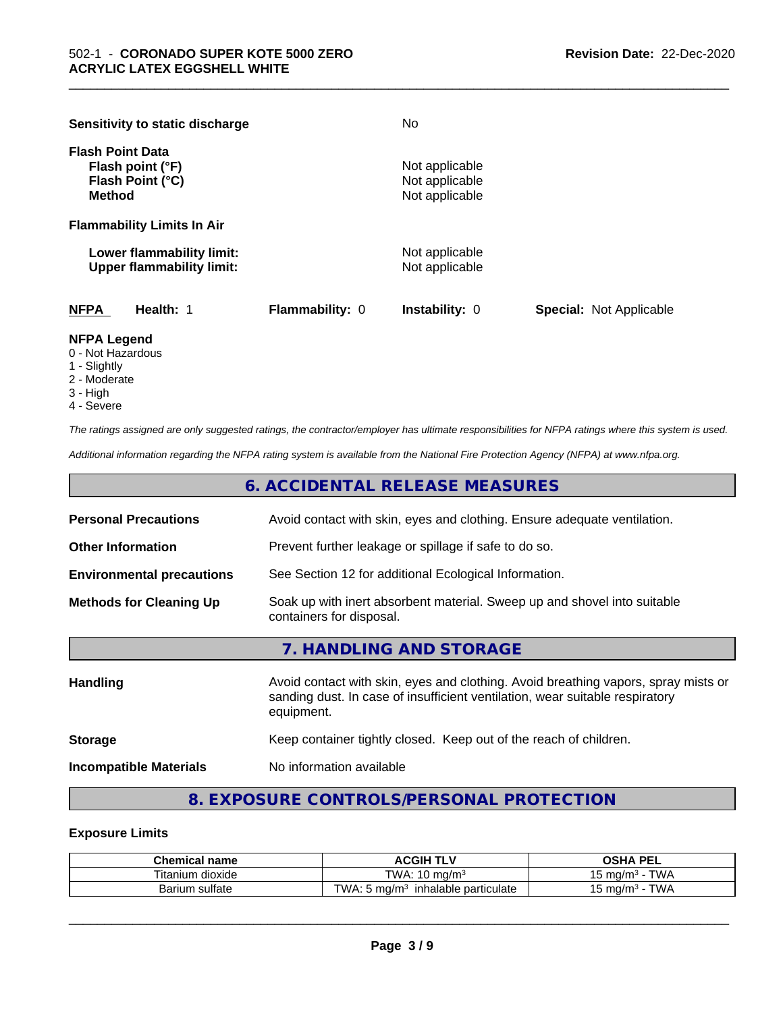| Sensitivity to static discharge                                                  |                        | No                                                 |                                |
|----------------------------------------------------------------------------------|------------------------|----------------------------------------------------|--------------------------------|
| <b>Flash Point Data</b><br>Flash point (°F)<br>Flash Point (°C)<br><b>Method</b> |                        | Not applicable<br>Not applicable<br>Not applicable |                                |
| <b>Flammability Limits In Air</b>                                                |                        |                                                    |                                |
| Lower flammability limit:<br><b>Upper flammability limit:</b>                    |                        | Not applicable<br>Not applicable                   |                                |
| <b>NFPA</b><br>Health: 1                                                         | <b>Flammability: 0</b> | <b>Instability: 0</b>                              | <b>Special: Not Applicable</b> |

\_\_\_\_\_\_\_\_\_\_\_\_\_\_\_\_\_\_\_\_\_\_\_\_\_\_\_\_\_\_\_\_\_\_\_\_\_\_\_\_\_\_\_\_\_\_\_\_\_\_\_\_\_\_\_\_\_\_\_\_\_\_\_\_\_\_\_\_\_\_\_\_\_\_\_\_\_\_\_\_\_\_\_\_\_\_\_\_\_\_\_\_\_

#### **NFPA Legend**

- 0 Not Hazardous
- 1 Slightly
- 2 Moderate
- 3 High
- 4 Severe

*The ratings assigned are only suggested ratings, the contractor/employer has ultimate responsibilities for NFPA ratings where this system is used.*

*Additional information regarding the NFPA rating system is available from the National Fire Protection Agency (NFPA) at www.nfpa.org.*

|                                  | 6. ACCIDENTAL RELEASE MEASURES                                                                       |
|----------------------------------|------------------------------------------------------------------------------------------------------|
| <b>Personal Precautions</b>      | Avoid contact with skin, eyes and clothing. Ensure adequate ventilation.                             |
| <b>Other Information</b>         | Prevent further leakage or spillage if safe to do so.                                                |
| <b>Environmental precautions</b> | See Section 12 for additional Ecological Information.                                                |
| <b>Methods for Cleaning Up</b>   | Soak up with inert absorbent material. Sweep up and shovel into suitable<br>containers for disposal. |
|                                  | 7. HANDLING AND STORAGE                                                                              |
|                                  |                                                                                                      |

| <b>Handling</b>               | Avoid contact with skin, eyes and clothing. Avoid breathing vapors, spray mists or<br>sanding dust. In case of insufficient ventilation, wear suitable respiratory<br>equipment. |
|-------------------------------|----------------------------------------------------------------------------------------------------------------------------------------------------------------------------------|
| <b>Storage</b>                | Keep container tightly closed. Keep out of the reach of children.                                                                                                                |
| <b>Incompatible Materials</b> | No information available                                                                                                                                                         |

# **8. EXPOSURE CONTROLS/PERSONAL PROTECTION**

#### **Exposure Limits**

| <b>Chemical</b><br>name         | <b>ACGIH T'</b><br>.<br>. .                        | <b>DEI</b><br>--                 |
|---------------------------------|----------------------------------------------------|----------------------------------|
| $- \cdot$ .<br>⊺itanium dioxide | TWA.<br>$\overline{ }$<br>ma/m <sup>3</sup><br>י ט | T111<br>, ma/m<br>VV/<br>՝       |
| sulfate<br>Barium               | TWA.<br>ma/m<br>particulate<br>inhalable           | T1111<br>., ma/m∵<br>vv <i>r</i> |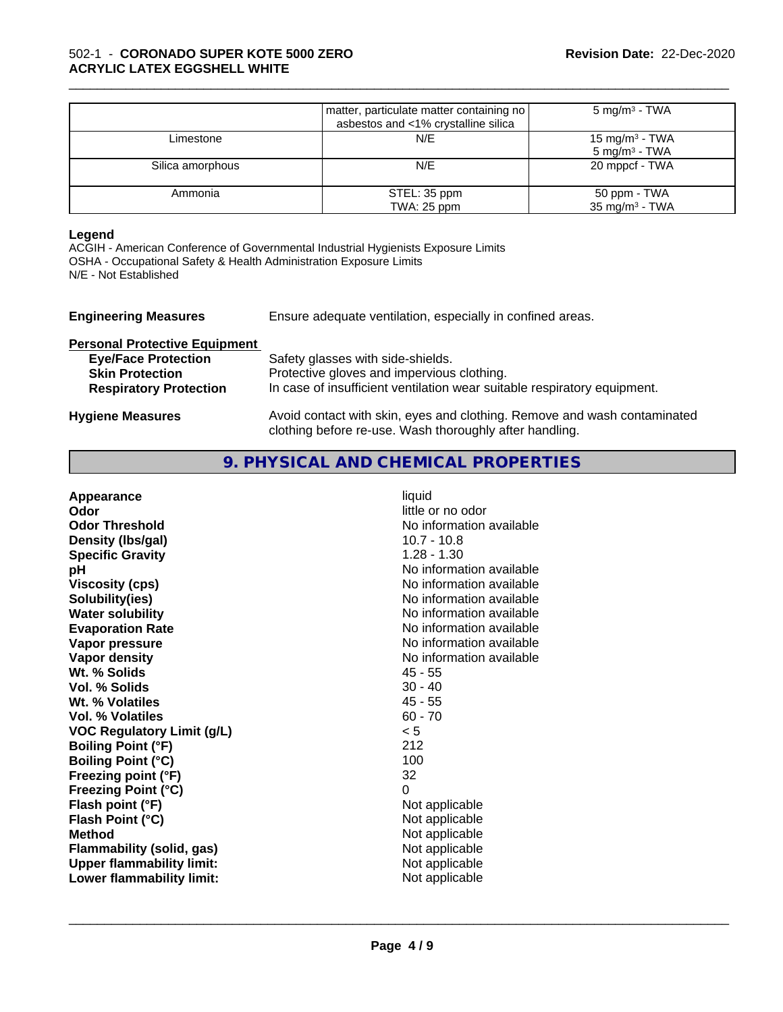|                  | matter, particulate matter containing no<br>asbestos and <1% crystalline silica | $5 \text{ mg/m}^3$ - TWA                      |
|------------------|---------------------------------------------------------------------------------|-----------------------------------------------|
| Limestone        | N/E                                                                             | 15 mg/m $3$ - TWA<br>$5 \text{ mg/m}^3$ - TWA |
| Silica amorphous | N/E                                                                             | 20 mppcf - TWA                                |
| Ammonia          | STEL: 35 ppm<br>TWA: 25 ppm                                                     | 50 ppm - TWA<br>$35 \text{ mg/m}^3$ - TWA     |

\_\_\_\_\_\_\_\_\_\_\_\_\_\_\_\_\_\_\_\_\_\_\_\_\_\_\_\_\_\_\_\_\_\_\_\_\_\_\_\_\_\_\_\_\_\_\_\_\_\_\_\_\_\_\_\_\_\_\_\_\_\_\_\_\_\_\_\_\_\_\_\_\_\_\_\_\_\_\_\_\_\_\_\_\_\_\_\_\_\_\_\_\_

#### **Legend**

ACGIH - American Conference of Governmental Industrial Hygienists Exposure Limits OSHA - Occupational Safety & Health Administration Exposure Limits N/E - Not Established

| <b>Engineering Measures</b>          | Ensure adequate ventilation, especially in confined areas.                                                                          |
|--------------------------------------|-------------------------------------------------------------------------------------------------------------------------------------|
| <b>Personal Protective Equipment</b> |                                                                                                                                     |
| <b>Eye/Face Protection</b>           | Safety glasses with side-shields.                                                                                                   |
| <b>Skin Protection</b>               | Protective gloves and impervious clothing.                                                                                          |
| <b>Respiratory Protection</b>        | In case of insufficient ventilation wear suitable respiratory equipment.                                                            |
| <b>Hygiene Measures</b>              | Avoid contact with skin, eyes and clothing. Remove and wash contaminated<br>clothing before re-use. Wash thoroughly after handling. |

### **9. PHYSICAL AND CHEMICAL PROPERTIES**

| Appearance                        | liquid                   |
|-----------------------------------|--------------------------|
| Odor                              | little or no odor        |
| <b>Odor Threshold</b>             | No information available |
| Density (Ibs/gal)                 | $10.7 - 10.8$            |
| <b>Specific Gravity</b>           | $1.28 - 1.30$            |
| рH                                | No information available |
| <b>Viscosity (cps)</b>            | No information available |
| Solubility(ies)                   | No information available |
| <b>Water solubility</b>           | No information available |
| <b>Evaporation Rate</b>           | No information available |
| Vapor pressure                    | No information available |
| Vapor density                     | No information available |
| Wt. % Solids                      | 45 - 55                  |
| Vol. % Solids                     | $30 - 40$                |
| Wt. % Volatiles                   | $45 - 55$                |
| Vol. % Volatiles                  | $60 - 70$                |
| <b>VOC Regulatory Limit (g/L)</b> | < 5                      |
| <b>Boiling Point (°F)</b>         | 212                      |
| <b>Boiling Point (°C)</b>         | 100                      |
| Freezing point (°F)               | 32                       |
| <b>Freezing Point (°C)</b>        | $\Omega$                 |
| Flash point (°F)                  | Not applicable           |
|                                   |                          |
| Flash Point (°C)                  | Not applicable           |
| <b>Method</b>                     | Not applicable           |
| Flammability (solid, gas)         | Not applicable           |
| <b>Upper flammability limit:</b>  | Not applicable           |
| Lower flammability limit:         | Not applicable           |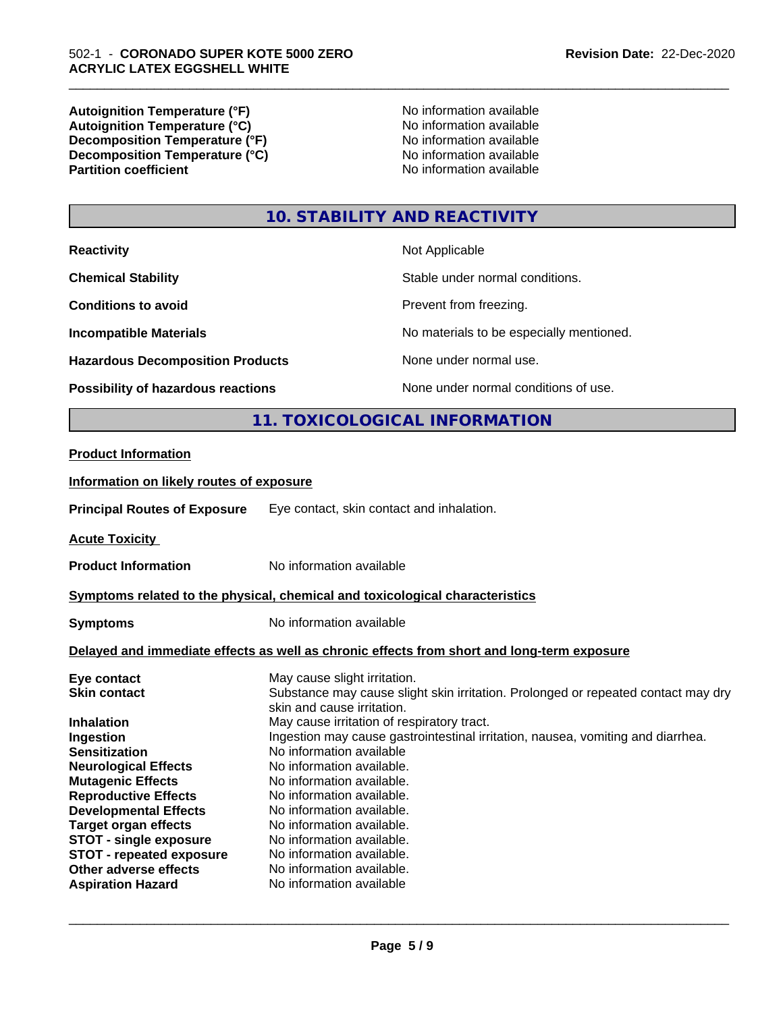**Autoignition Temperature (°F)**<br> **Autoignition Temperature (°C)**<br> **Autoignition Temperature (°C)**<br> **Autoignition Temperature (°C)** Autoignition **Temperature** (°C) Mo information available<br>Decomposition **Temperature** (°F) No information available **Decomposition Temperature (°F)**<br> **Decomposition Temperature (°C)**<br>
No information available<br>
No information available **Decomposition Temperature (°C)**<br>Partition coefficient

L

**No information available** 

\_\_\_\_\_\_\_\_\_\_\_\_\_\_\_\_\_\_\_\_\_\_\_\_\_\_\_\_\_\_\_\_\_\_\_\_\_\_\_\_\_\_\_\_\_\_\_\_\_\_\_\_\_\_\_\_\_\_\_\_\_\_\_\_\_\_\_\_\_\_\_\_\_\_\_\_\_\_\_\_\_\_\_\_\_\_\_\_\_\_\_\_\_

# **10. STABILITY AND REACTIVITY**

| Possibility of hazardous reactions      | None under normal conditions of use.     |
|-----------------------------------------|------------------------------------------|
| <b>Hazardous Decomposition Products</b> | None under normal use.                   |
| <b>Incompatible Materials</b>           | No materials to be especially mentioned. |
| <b>Conditions to avoid</b>              | Prevent from freezing.                   |
| <b>Chemical Stability</b>               | Stable under normal conditions.          |
| <b>Reactivity</b>                       | Not Applicable                           |

# **11. TOXICOLOGICAL INFORMATION**

| <b>Product Information</b>                   |                                                                                            |
|----------------------------------------------|--------------------------------------------------------------------------------------------|
| Information on likely routes of exposure     |                                                                                            |
| <b>Principal Routes of Exposure</b>          | Eye contact, skin contact and inhalation.                                                  |
| <b>Acute Toxicity</b>                        |                                                                                            |
| <b>Product Information</b>                   | No information available                                                                   |
|                                              | Symptoms related to the physical, chemical and toxicological characteristics               |
| <b>Symptoms</b>                              | No information available                                                                   |
|                                              | Delayed and immediate effects as well as chronic effects from short and long-term exposure |
| Eye contact                                  | May cause slight irritation.                                                               |
| Skin contact                                 | Substance may cause slight skin irritation. Prolonged or repeated contact may dry          |
|                                              | skin and cause irritation.                                                                 |
| Inhalation                                   | May cause irritation of respiratory tract.                                                 |
| Ingestion                                    | Ingestion may cause gastrointestinal irritation, nausea, vomiting and diarrhea.            |
| Sensitization<br><b>Neurological Effects</b> | No information available<br>No information available.                                      |
| <b>Mutagenic Effects</b>                     | No information available.                                                                  |
| <b>Reproductive Effects</b>                  | No information available.                                                                  |
| <b>Developmental Effects</b>                 | No information available.                                                                  |
| <b>Target organ effects</b>                  | No information available.                                                                  |
| <b>STOT - single exposure</b>                | No information available.                                                                  |
| <b>STOT - repeated exposure</b>              | No information available.                                                                  |
| Other adverse effects                        | No information available.                                                                  |
| Aspiration Hazard                            | No information available                                                                   |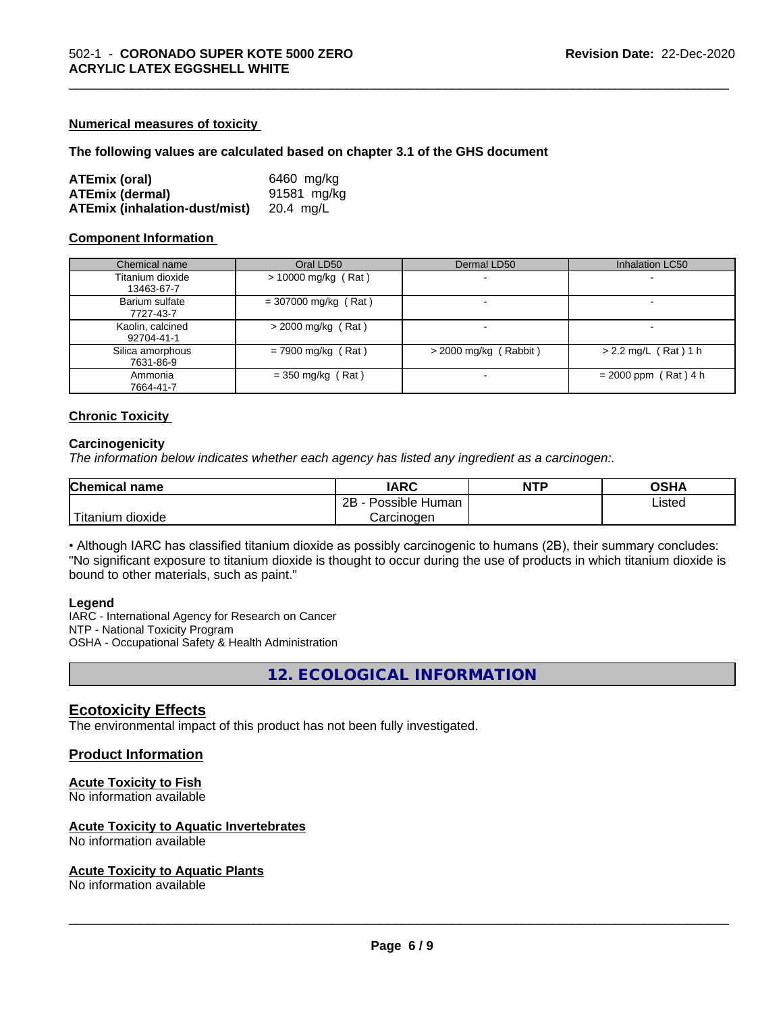#### **Numerical measures of toxicity**

#### **The following values are calculated based on chapter 3.1 of the GHS document**

| <b>ATEmix (oral)</b>                           | 6460 mg/kg  |
|------------------------------------------------|-------------|
| <b>ATEmix (dermal)</b>                         | 91581 mg/kg |
| <b>ATEmix (inhalation-dust/mist)</b> 20.4 mg/L |             |

#### **Component Information**

| Chemical name                  | Oral LD50              | Dermal LD50              | <b>Inhalation LC50</b>   |
|--------------------------------|------------------------|--------------------------|--------------------------|
| Titanium dioxide<br>13463-67-7 | $> 10000$ mg/kg (Rat)  | $\overline{\phantom{a}}$ | $\overline{\phantom{a}}$ |
| Barium sulfate<br>7727-43-7    | $= 307000$ mg/kg (Rat) | -                        |                          |
| Kaolin, calcined<br>92704-41-1 | $>$ 2000 mg/kg (Rat)   |                          |                          |
| Silica amorphous<br>7631-86-9  | $= 7900$ mg/kg (Rat)   | $>$ 2000 mg/kg (Rabbit)  | $> 2.2$ mg/L (Rat) 1 h   |
| Ammonia<br>7664-41-7           | $=$ 350 mg/kg (Rat)    | -                        | $= 2000$ ppm (Rat) 4 h   |

\_\_\_\_\_\_\_\_\_\_\_\_\_\_\_\_\_\_\_\_\_\_\_\_\_\_\_\_\_\_\_\_\_\_\_\_\_\_\_\_\_\_\_\_\_\_\_\_\_\_\_\_\_\_\_\_\_\_\_\_\_\_\_\_\_\_\_\_\_\_\_\_\_\_\_\_\_\_\_\_\_\_\_\_\_\_\_\_\_\_\_\_\_

#### **Chronic Toxicity**

#### **Carcinogenicity**

*The information below indicateswhether each agency has listed any ingredient as a carcinogen:.*

| <b>Chemical</b><br>name     | <b>IARC</b>                  | <b>NTP</b> | $\sim$ $\sim$<br>שטש |
|-----------------------------|------------------------------|------------|----------------------|
|                             | .<br>2B<br>Human<br>Possible |            | Listed<br>____       |
| .<br>. dioxide<br>' itanium | Carcinogen                   |            |                      |

• Although IARC has classified titanium dioxide as possibly carcinogenic to humans (2B), their summary concludes: "No significant exposure to titanium dioxide is thought to occur during the use of products in which titanium dioxide is bound to other materials, such as paint."

#### **Legend**

IARC - International Agency for Research on Cancer NTP - National Toxicity Program OSHA - Occupational Safety & Health Administration

**12. ECOLOGICAL INFORMATION**

#### **Ecotoxicity Effects**

The environmental impact of this product has not been fully investigated.

#### **Product Information**

#### **Acute Toxicity to Fish**

No information available

#### **Acute Toxicity to Aquatic Invertebrates**

No information available

#### **Acute Toxicity to Aquatic Plants**

No information available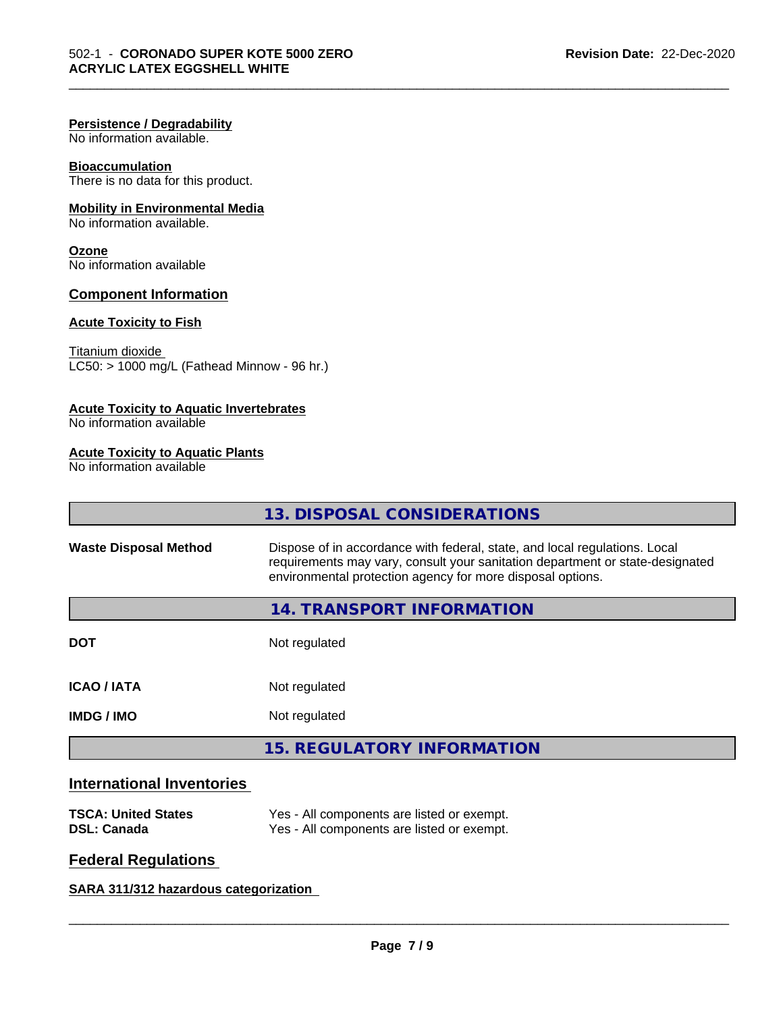#### **Persistence / Degradability**

No information available.

#### **Bioaccumulation**

There is no data for this product.

### **Mobility in Environmental Media**

No information available.

#### **Ozone**

No information available

#### **Component Information**

#### **Acute Toxicity to Fish**

Titanium dioxide  $LC50: > 1000$  mg/L (Fathead Minnow - 96 hr.)

#### **Acute Toxicity to Aquatic Invertebrates**

No information available

#### **Acute Toxicity to Aquatic Plants**

No information available

|                              | <b>13. DISPOSAL CONSIDERATIONS</b>                                                                                                                                                                                        |
|------------------------------|---------------------------------------------------------------------------------------------------------------------------------------------------------------------------------------------------------------------------|
| <b>Waste Disposal Method</b> | Dispose of in accordance with federal, state, and local regulations. Local<br>requirements may vary, consult your sanitation department or state-designated<br>environmental protection agency for more disposal options. |
|                              | 14. TRANSPORT INFORMATION                                                                                                                                                                                                 |
| <b>DOT</b>                   | Not regulated                                                                                                                                                                                                             |
| <b>ICAO/IATA</b>             | Not regulated                                                                                                                                                                                                             |
| <b>IMDG/IMO</b>              | Not regulated                                                                                                                                                                                                             |
|                              | <b>15. REGULATORY INFORMATION</b>                                                                                                                                                                                         |

\_\_\_\_\_\_\_\_\_\_\_\_\_\_\_\_\_\_\_\_\_\_\_\_\_\_\_\_\_\_\_\_\_\_\_\_\_\_\_\_\_\_\_\_\_\_\_\_\_\_\_\_\_\_\_\_\_\_\_\_\_\_\_\_\_\_\_\_\_\_\_\_\_\_\_\_\_\_\_\_\_\_\_\_\_\_\_\_\_\_\_\_\_

# **International Inventories**

| <b>TSCA: United States</b> | Yes - All components are listed or exempt. |
|----------------------------|--------------------------------------------|
| <b>DSL: Canada</b>         | Yes - All components are listed or exempt. |

# **Federal Regulations**

**SARA 311/312 hazardous categorization**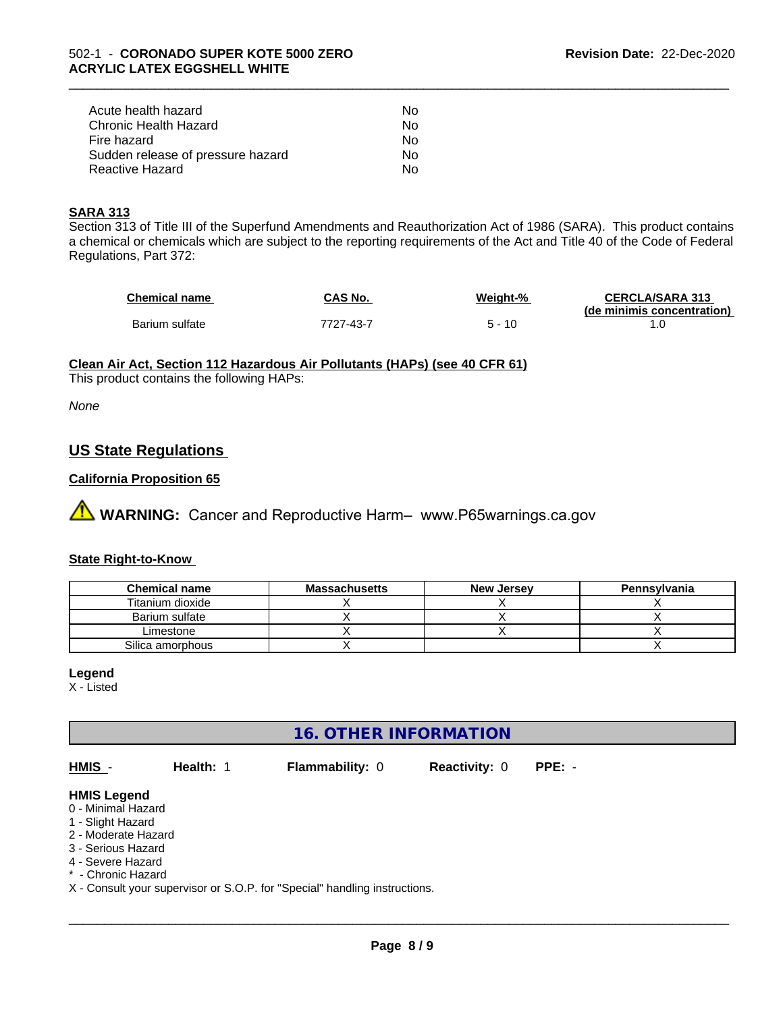| Acute health hazard               | Nο |  |
|-----------------------------------|----|--|
| Chronic Health Hazard             | N٥ |  |
| Fire hazard                       | Nο |  |
| Sudden release of pressure hazard | N٥ |  |
| Reactive Hazard                   | N٥ |  |

#### **SARA 313**

Section 313 of Title III of the Superfund Amendments and Reauthorization Act of 1986 (SARA). This product contains a chemical or chemicals which are subject to the reporting requirements of the Act and Title 40 of the Code of Federal Regulations, Part 372:

| <b>Chemical name</b> | CAS No.   | Weight-% | <b>CERCLA/SARA 313</b><br>(de minimis concentration) |
|----------------------|-----------|----------|------------------------------------------------------|
| Barium sulfate       | 7727-43-7 | 10       |                                                      |

\_\_\_\_\_\_\_\_\_\_\_\_\_\_\_\_\_\_\_\_\_\_\_\_\_\_\_\_\_\_\_\_\_\_\_\_\_\_\_\_\_\_\_\_\_\_\_\_\_\_\_\_\_\_\_\_\_\_\_\_\_\_\_\_\_\_\_\_\_\_\_\_\_\_\_\_\_\_\_\_\_\_\_\_\_\_\_\_\_\_\_\_\_

#### **Clean Air Act,Section 112 Hazardous Air Pollutants (HAPs) (see 40 CFR 61)**

This product contains the following HAPs:

*None*

## **US State Regulations**

#### **California Proposition 65**

**A** WARNING: Cancer and Reproductive Harm– www.P65warnings.ca.gov

#### **State Right-to-Know**

| <b>Chemical name</b> | <b>Massachusetts</b> | <b>New Jersey</b> | Pennsylvania |
|----------------------|----------------------|-------------------|--------------|
| Titanium dioxide     |                      |                   |              |
| Barium sulfate       |                      |                   |              |
| Limestone            |                      |                   |              |
| Silica amorphous     |                      |                   |              |

**Legend**

X - Listed

# **16. OTHER INFORMATION**

**HMIS** - **Health:** 1 **Flammability:** 0 **Reactivity:** 0 **PPE:** - **HMIS Legend** 0 - Minimal Hazard 1 - Slight Hazard 2 - Moderate Hazard 3 - Serious Hazard 4 - Severe Hazard

\* - Chronic Hazard

X - Consult your supervisor or S.O.P. for "Special" handling instructions.